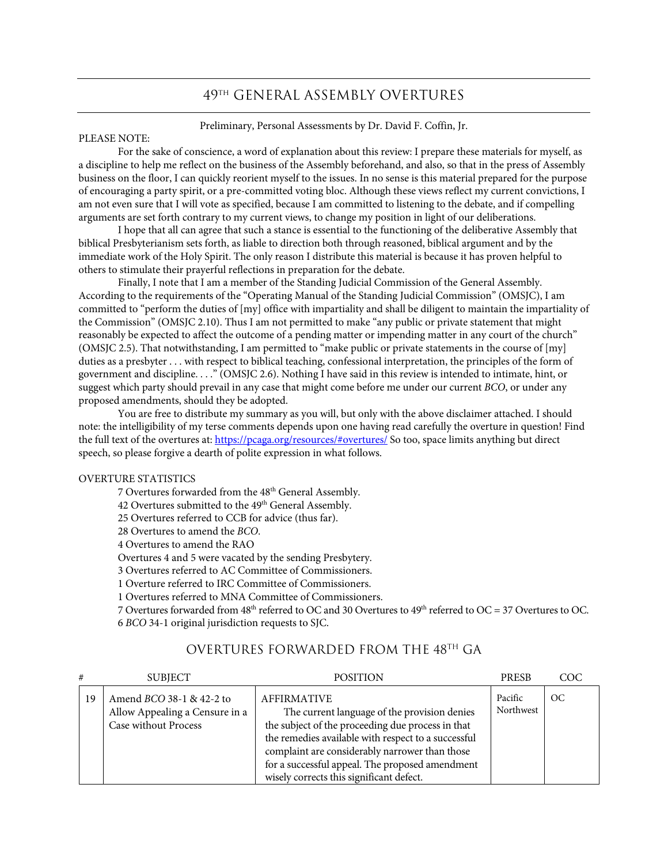### 49th GENERAL ASSEMBLY OVERTURES

Preliminary, Personal Assessments by Dr. David F. Coffin, Jr.

#### PLEASE NOTE:

For the sake of conscience, a word of explanation about this review: I prepare these materials for myself, as a discipline to help me reflect on the business of the Assembly beforehand, and also, so that in the press of Assembly business on the floor, I can quickly reorient myself to the issues. In no sense is this material prepared for the purpose of encouraging a party spirit, or a pre-committed voting bloc. Although these views reflect my current convictions, I am not even sure that I will vote as specified, because I am committed to listening to the debate, and if compelling arguments are set forth contrary to my current views, to change my position in light of our deliberations.

I hope that all can agree that such a stance is essential to the functioning of the deliberative Assembly that biblical Presbyterianism sets forth, as liable to direction both through reasoned, biblical argument and by the immediate work of the Holy Spirit. The only reason I distribute this material is because it has proven helpful to others to stimulate their prayerful reflections in preparation for the debate.

Finally, I note that I am a member of the Standing Judicial Commission of the General Assembly. According to the requirements of the "Operating Manual of the Standing Judicial Commission" (OMSJC), I am committed to "perform the duties of [my] office with impartiality and shall be diligent to maintain the impartiality of the Commission" (OMSJC 2.10). Thus I am not permitted to make "any public or private statement that might reasonably be expected to affect the outcome of a pending matter or impending matter in any court of the church" (OMSJC 2.5). That notwithstanding, I am permitted to "make public or private statements in the course of [my] duties as a presbyter . . . with respect to biblical teaching, confessional interpretation, the principles of the form of government and discipline. . . ." (OMSJC 2.6). Nothing I have said in this review is intended to intimate, hint, or suggest which party should prevail in any case that might come before me under our current *BCO*, or under any proposed amendments, should they be adopted.

You are free to distribute my summary as you will, but only with the above disclaimer attached. I should note: the intelligibility of my terse comments depends upon one having read carefully the overture in question! Find the full text of the overtures at: https://pcaga.org/resources/#overtures/ So too, space limits anything but direct speech, so please forgive a dearth of polite expression in what follows.

#### OVERTURE STATISTICS

7 Overtures forwarded from the 48th General Assembly. 42 Overtures submitted to the 49<sup>th</sup> General Assembly.

25 Overtures referred to CCB for advice (thus far).

28 Overtures to amend the *BCO*.

4 Overtures to amend the RAO

Overtures 4 and 5 were vacated by the sending Presbytery.

3 Overtures referred to AC Committee of Commissioners.

1 Overture referred to IRC Committee of Commissioners.

1 Overtures referred to MNA Committee of Commissioners.

7 Overtures forwarded from 48<sup>th</sup> referred to OC and 30 Overtures to 49<sup>th</sup> referred to OC = 37 Overtures to OC. 6 *BCO* 34-1 original jurisdiction requests to SJC.

| #  | <b>SUBJECT</b>                                                                            | <b>POSITION</b>                                                                                                                                                                                                                                                                                                                 | <b>PRESB</b>         | COC           |
|----|-------------------------------------------------------------------------------------------|---------------------------------------------------------------------------------------------------------------------------------------------------------------------------------------------------------------------------------------------------------------------------------------------------------------------------------|----------------------|---------------|
| 19 | Amend <i>BCO</i> 38-1 & 42-2 to<br>Allow Appealing a Censure in a<br>Case without Process | <b>AFFIRMATIVE</b><br>The current language of the provision denies<br>the subject of the proceeding due process in that<br>the remedies available with respect to a successful<br>complaint are considerably narrower than those<br>for a successful appeal. The proposed amendment<br>wisely corrects this significant defect. | Pacific<br>Northwest | <sub>OC</sub> |

## OVERTURES FORWARDED FROM THE 48TH GA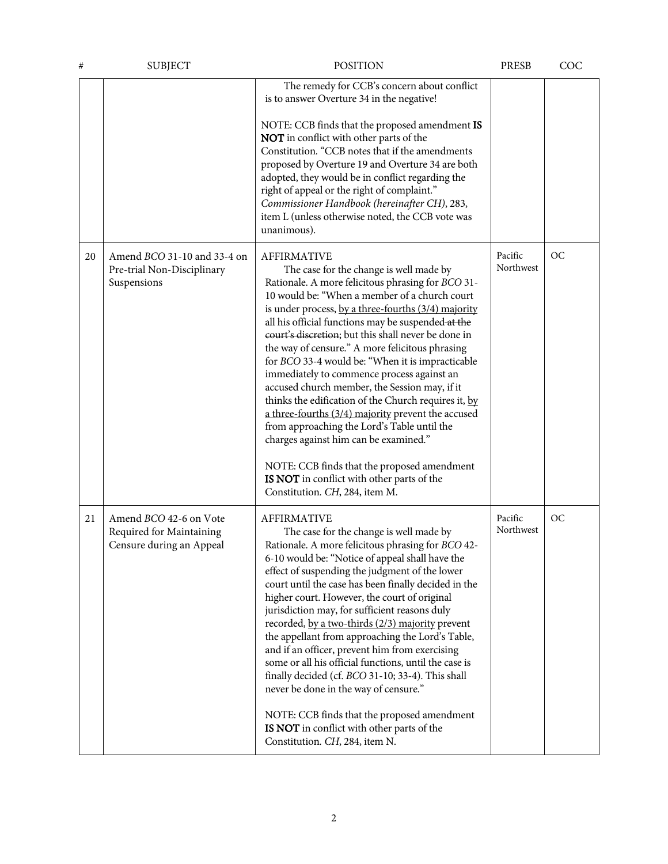| #  | <b>SUBJECT</b>                                                                  | <b>POSITION</b>                                                                                                                                                                                                                                                                                                                                                                                                                                                                                                                                                                                                                                                                                                                                                                                                                                                                    | PRESB                | COC |
|----|---------------------------------------------------------------------------------|------------------------------------------------------------------------------------------------------------------------------------------------------------------------------------------------------------------------------------------------------------------------------------------------------------------------------------------------------------------------------------------------------------------------------------------------------------------------------------------------------------------------------------------------------------------------------------------------------------------------------------------------------------------------------------------------------------------------------------------------------------------------------------------------------------------------------------------------------------------------------------|----------------------|-----|
|    |                                                                                 | The remedy for CCB's concern about conflict<br>is to answer Overture 34 in the negative!<br>NOTE: CCB finds that the proposed amendment IS<br>NOT in conflict with other parts of the<br>Constitution. "CCB notes that if the amendments<br>proposed by Overture 19 and Overture 34 are both<br>adopted, they would be in conflict regarding the<br>right of appeal or the right of complaint."<br>Commissioner Handbook (hereinafter CH), 283,<br>item L (unless otherwise noted, the CCB vote was<br>unanimous).                                                                                                                                                                                                                                                                                                                                                                 |                      |     |
| 20 | Amend <i>BCO</i> 31-10 and 33-4 on<br>Pre-trial Non-Disciplinary<br>Suspensions | <b>AFFIRMATIVE</b><br>The case for the change is well made by<br>Rationale. A more felicitous phrasing for BCO 31-<br>10 would be: "When a member of a church court<br>is under process, by a three-fourths (3/4) majority<br>all his official functions may be suspended at the<br>court's discretion; but this shall never be done in<br>the way of censure." A more felicitous phrasing<br>for BCO 33-4 would be: "When it is impracticable<br>immediately to commence process against an<br>accused church member, the Session may, if it<br>thinks the edification of the Church requires it, by<br>a three-fourths (3/4) majority prevent the accused<br>from approaching the Lord's Table until the<br>charges against him can be examined."<br>NOTE: CCB finds that the proposed amendment<br>IS NOT in conflict with other parts of the<br>Constitution. CH, 284, item M. | Pacific<br>Northwest | OC  |
| 21 | Amend BCO 42-6 on Vote<br>Required for Maintaining<br>Censure during an Appeal  | <b>AFFIRMATIVE</b><br>The case for the change is well made by<br>Rationale. A more felicitous phrasing for BCO 42-<br>6-10 would be: "Notice of appeal shall have the<br>effect of suspending the judgment of the lower<br>court until the case has been finally decided in the<br>higher court. However, the court of original<br>jurisdiction may, for sufficient reasons duly<br>recorded, by a two-thirds (2/3) majority prevent<br>the appellant from approaching the Lord's Table,<br>and if an officer, prevent him from exercising<br>some or all his official functions, until the case is<br>finally decided (cf. BCO 31-10; 33-4). This shall<br>never be done in the way of censure."<br>NOTE: CCB finds that the proposed amendment<br>IS NOT in conflict with other parts of the<br>Constitution. CH, 284, item N.                                                   | Pacific<br>Northwest | OC  |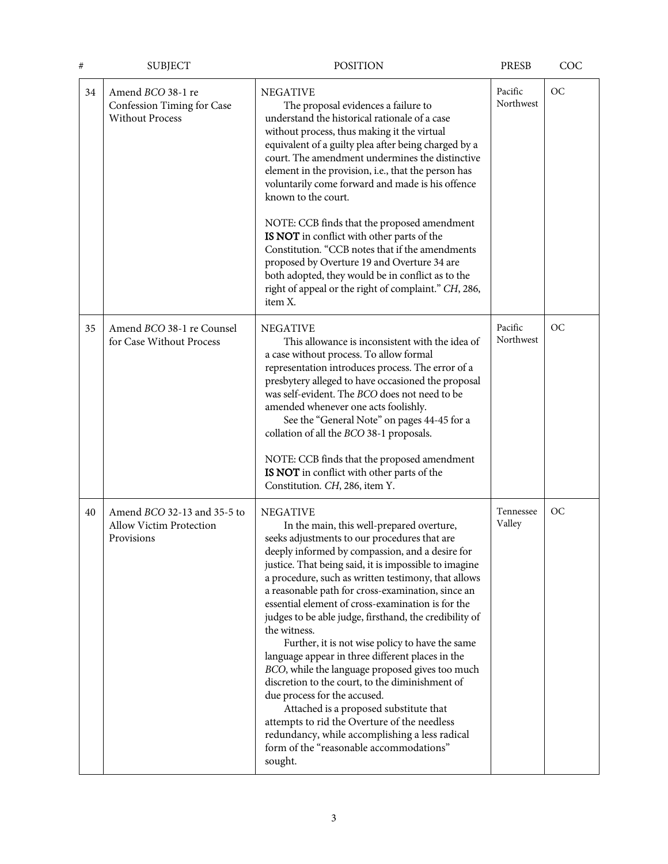| #  | <b>SUBJECT</b>                                                                     | <b>POSITION</b>                                                                                                                                                                                                                                                                                                                                                                                                                                                                                                                                                                                                                                                                                                                                                                                                                                                                                                    | <b>PRESB</b>         | COC       |
|----|------------------------------------------------------------------------------------|--------------------------------------------------------------------------------------------------------------------------------------------------------------------------------------------------------------------------------------------------------------------------------------------------------------------------------------------------------------------------------------------------------------------------------------------------------------------------------------------------------------------------------------------------------------------------------------------------------------------------------------------------------------------------------------------------------------------------------------------------------------------------------------------------------------------------------------------------------------------------------------------------------------------|----------------------|-----------|
| 34 | Amend BCO 38-1 re<br>Confession Timing for Case<br><b>Without Process</b>          | <b>NEGATIVE</b><br>The proposal evidences a failure to<br>understand the historical rationale of a case<br>without process, thus making it the virtual<br>equivalent of a guilty plea after being charged by a<br>court. The amendment undermines the distinctive<br>element in the provision, i.e., that the person has<br>voluntarily come forward and made is his offence<br>known to the court.<br>NOTE: CCB finds that the proposed amendment<br>IS NOT in conflict with other parts of the<br>Constitution. "CCB notes that if the amendments<br>proposed by Overture 19 and Overture 34 are<br>both adopted, they would be in conflict as to the<br>right of appeal or the right of complaint." CH, 286,<br>item X.                                                                                                                                                                                         | Pacific<br>Northwest | OC        |
| 35 | Amend BCO 38-1 re Counsel<br>for Case Without Process                              | <b>NEGATIVE</b><br>This allowance is inconsistent with the idea of<br>a case without process. To allow formal<br>representation introduces process. The error of a<br>presbytery alleged to have occasioned the proposal<br>was self-evident. The BCO does not need to be<br>amended whenever one acts foolishly.<br>See the "General Note" on pages 44-45 for a<br>collation of all the BCO 38-1 proposals.<br>NOTE: CCB finds that the proposed amendment<br>IS NOT in conflict with other parts of the<br>Constitution. CH, 286, item Y.                                                                                                                                                                                                                                                                                                                                                                        | Pacific<br>Northwest | <b>OC</b> |
| 40 | Amend <i>BCO</i> 32-13 and 35-5 to<br><b>Allow Victim Protection</b><br>Provisions | <b>NEGATIVE</b><br>In the main, this well-prepared overture,<br>seeks adjustments to our procedures that are<br>deeply informed by compassion, and a desire for<br>justice. That being said, it is impossible to imagine<br>a procedure, such as written testimony, that allows<br>a reasonable path for cross-examination, since an<br>essential element of cross-examination is for the<br>judges to be able judge, firsthand, the credibility of<br>the witness.<br>Further, it is not wise policy to have the same<br>language appear in three different places in the<br>BCO, while the language proposed gives too much<br>discretion to the court, to the diminishment of<br>due process for the accused.<br>Attached is a proposed substitute that<br>attempts to rid the Overture of the needless<br>redundancy, while accomplishing a less radical<br>form of the "reasonable accommodations"<br>sought. | Tennessee<br>Valley  | OC        |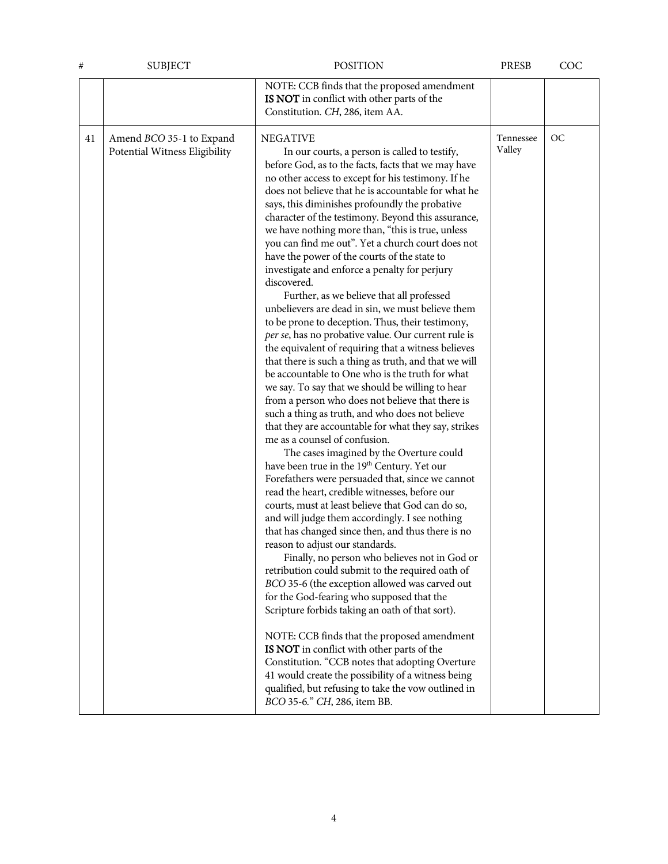| #  | <b>SUBJECT</b>                                            | <b>POSITION</b>                                                                                                                                                                                                                                                                                                                                                                                                                                                                                                                                                                                                                                                                                                                                                                                                                                                                                                                                                                                                                                                                                                                                                                                                                                                                                                                                                                                                                                                                                                                                                                                                                                                                                                                                                                                                                                                                                                                                                                                                                                                                                                                                                           | PRESB               | COC |
|----|-----------------------------------------------------------|---------------------------------------------------------------------------------------------------------------------------------------------------------------------------------------------------------------------------------------------------------------------------------------------------------------------------------------------------------------------------------------------------------------------------------------------------------------------------------------------------------------------------------------------------------------------------------------------------------------------------------------------------------------------------------------------------------------------------------------------------------------------------------------------------------------------------------------------------------------------------------------------------------------------------------------------------------------------------------------------------------------------------------------------------------------------------------------------------------------------------------------------------------------------------------------------------------------------------------------------------------------------------------------------------------------------------------------------------------------------------------------------------------------------------------------------------------------------------------------------------------------------------------------------------------------------------------------------------------------------------------------------------------------------------------------------------------------------------------------------------------------------------------------------------------------------------------------------------------------------------------------------------------------------------------------------------------------------------------------------------------------------------------------------------------------------------------------------------------------------------------------------------------------------------|---------------------|-----|
|    |                                                           | NOTE: CCB finds that the proposed amendment<br>IS NOT in conflict with other parts of the<br>Constitution. CH, 286, item AA.                                                                                                                                                                                                                                                                                                                                                                                                                                                                                                                                                                                                                                                                                                                                                                                                                                                                                                                                                                                                                                                                                                                                                                                                                                                                                                                                                                                                                                                                                                                                                                                                                                                                                                                                                                                                                                                                                                                                                                                                                                              |                     |     |
| 41 | Amend BCO 35-1 to Expand<br>Potential Witness Eligibility | <b>NEGATIVE</b><br>In our courts, a person is called to testify,<br>before God, as to the facts, facts that we may have<br>no other access to except for his testimony. If he<br>does not believe that he is accountable for what he<br>says, this diminishes profoundly the probative<br>character of the testimony. Beyond this assurance,<br>we have nothing more than, "this is true, unless<br>you can find me out". Yet a church court does not<br>have the power of the courts of the state to<br>investigate and enforce a penalty for perjury<br>discovered.<br>Further, as we believe that all professed<br>unbelievers are dead in sin, we must believe them<br>to be prone to deception. Thus, their testimony,<br>per se, has no probative value. Our current rule is<br>the equivalent of requiring that a witness believes<br>that there is such a thing as truth, and that we will<br>be accountable to One who is the truth for what<br>we say. To say that we should be willing to hear<br>from a person who does not believe that there is<br>such a thing as truth, and who does not believe<br>that they are accountable for what they say, strikes<br>me as a counsel of confusion.<br>The cases imagined by the Overture could<br>have been true in the 19 <sup>th</sup> Century. Yet our<br>Forefathers were persuaded that, since we cannot<br>read the heart, credible witnesses, before our<br>courts, must at least believe that God can do so,<br>and will judge them accordingly. I see nothing<br>that has changed since then, and thus there is no<br>reason to adjust our standards.<br>Finally, no person who believes not in God or<br>retribution could submit to the required oath of<br>BCO 35-6 (the exception allowed was carved out<br>for the God-fearing who supposed that the<br>Scripture forbids taking an oath of that sort).<br>NOTE: CCB finds that the proposed amendment<br>IS NOT in conflict with other parts of the<br>Constitution. "CCB notes that adopting Overture<br>41 would create the possibility of a witness being<br>qualified, but refusing to take the vow outlined in<br>BCO 35-6." CH, 286, item BB. | Tennessee<br>Valley | OC  |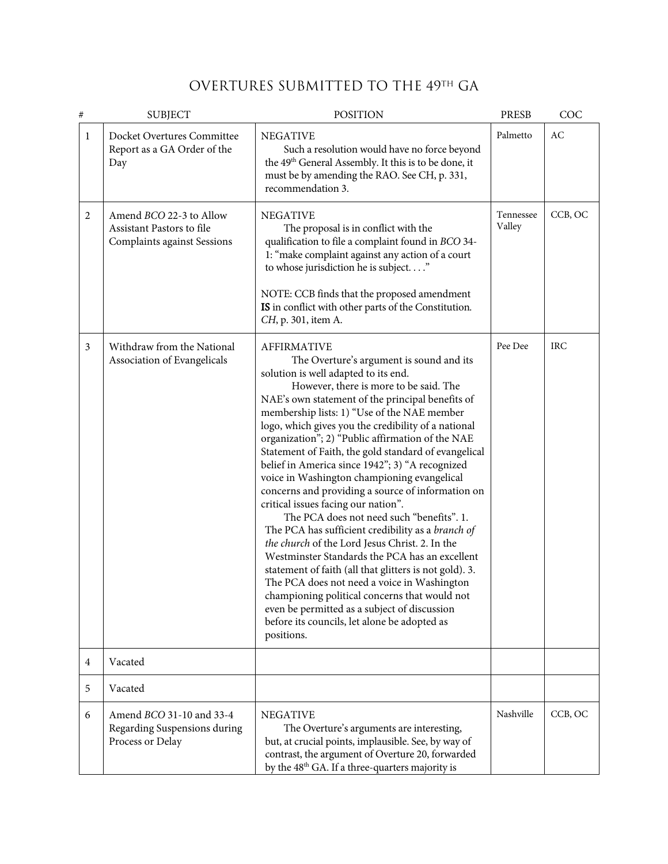# OVERTURES SUBMITTED TO THE 49TH GA

| #            | <b>SUBJECT</b>                                                                      | <b>POSITION</b>                                                                                                                                                                                                                                                                                                                                                                                                                                                                                                                                                                                                                                                                                                                                                                                                                                                                                                                                                                                                                                                                                    | <b>PRESB</b>        | COC        |
|--------------|-------------------------------------------------------------------------------------|----------------------------------------------------------------------------------------------------------------------------------------------------------------------------------------------------------------------------------------------------------------------------------------------------------------------------------------------------------------------------------------------------------------------------------------------------------------------------------------------------------------------------------------------------------------------------------------------------------------------------------------------------------------------------------------------------------------------------------------------------------------------------------------------------------------------------------------------------------------------------------------------------------------------------------------------------------------------------------------------------------------------------------------------------------------------------------------------------|---------------------|------------|
| $\mathbf{1}$ | Docket Overtures Committee<br>Report as a GA Order of the<br>Day                    | <b>NEGATIVE</b><br>Such a resolution would have no force beyond<br>the 49 <sup>th</sup> General Assembly. It this is to be done, it<br>must be by amending the RAO. See CH, p. 331,<br>recommendation 3.                                                                                                                                                                                                                                                                                                                                                                                                                                                                                                                                                                                                                                                                                                                                                                                                                                                                                           | Palmetto            | AC         |
| 2            | Amend BCO 22-3 to Allow<br>Assistant Pastors to file<br>Complaints against Sessions | <b>NEGATIVE</b><br>The proposal is in conflict with the<br>qualification to file a complaint found in BCO 34-<br>1: "make complaint against any action of a court<br>to whose jurisdiction he is subject"<br>NOTE: CCB finds that the proposed amendment<br>IS in conflict with other parts of the Constitution.<br>CH, p. 301, item A.                                                                                                                                                                                                                                                                                                                                                                                                                                                                                                                                                                                                                                                                                                                                                            | Tennessee<br>Valley | CCB, OC    |
| 3            | Withdraw from the National<br>Association of Evangelicals                           | <b>AFFIRMATIVE</b><br>The Overture's argument is sound and its<br>solution is well adapted to its end.<br>However, there is more to be said. The<br>NAE's own statement of the principal benefits of<br>membership lists: 1) "Use of the NAE member<br>logo, which gives you the credibility of a national<br>organization"; 2) "Public affirmation of the NAE<br>Statement of Faith, the gold standard of evangelical<br>belief in America since 1942"; 3) "A recognized<br>voice in Washington championing evangelical<br>concerns and providing a source of information on<br>critical issues facing our nation".<br>The PCA does not need such "benefits". 1.<br>The PCA has sufficient credibility as a branch of<br>the church of the Lord Jesus Christ. 2. In the<br>Westminster Standards the PCA has an excellent<br>statement of faith (all that glitters is not gold). 3.<br>The PCA does not need a voice in Washington<br>championing political concerns that would not<br>even be permitted as a subject of discussion<br>before its councils, let alone be adopted as<br>positions. | Pee Dee             | <b>IRC</b> |
| 4            | Vacated                                                                             |                                                                                                                                                                                                                                                                                                                                                                                                                                                                                                                                                                                                                                                                                                                                                                                                                                                                                                                                                                                                                                                                                                    |                     |            |
| 5            | Vacated                                                                             |                                                                                                                                                                                                                                                                                                                                                                                                                                                                                                                                                                                                                                                                                                                                                                                                                                                                                                                                                                                                                                                                                                    |                     |            |
| 6            | Amend BCO 31-10 and 33-4<br>Regarding Suspensions during<br>Process or Delay        | <b>NEGATIVE</b><br>The Overture's arguments are interesting,<br>but, at crucial points, implausible. See, by way of<br>contrast, the argument of Overture 20, forwarded<br>by the 48 <sup>th</sup> GA. If a three-quarters majority is                                                                                                                                                                                                                                                                                                                                                                                                                                                                                                                                                                                                                                                                                                                                                                                                                                                             | Nashville           | CCB, OC    |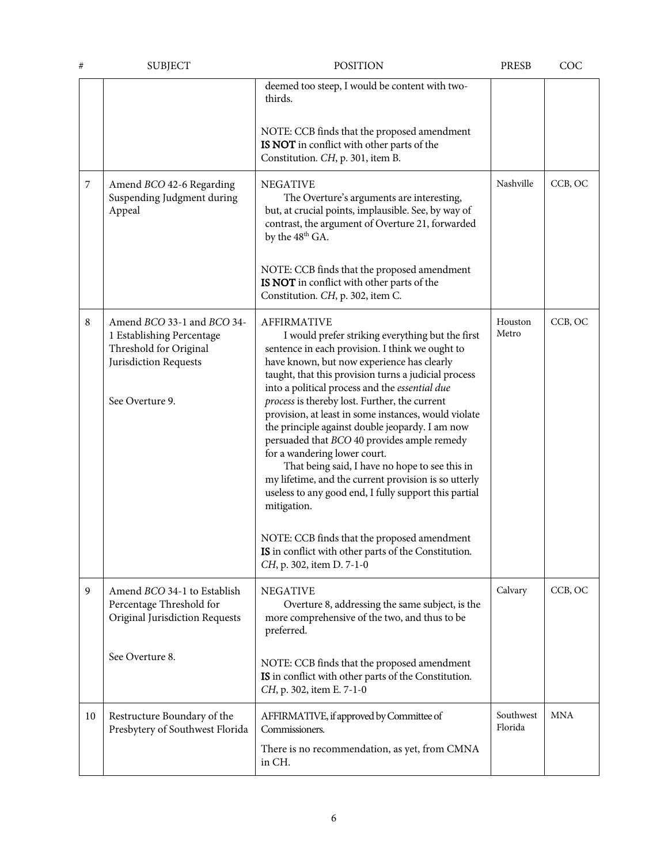| #  | <b>SUBJECT</b>                                                                                                                | <b>POSITION</b>                                                                                                                                                                                                                                                                                                                                                                                                                                                                                                                                                                                                                                                                                                                                                                                                                                    | <b>PRESB</b>         | COC        |
|----|-------------------------------------------------------------------------------------------------------------------------------|----------------------------------------------------------------------------------------------------------------------------------------------------------------------------------------------------------------------------------------------------------------------------------------------------------------------------------------------------------------------------------------------------------------------------------------------------------------------------------------------------------------------------------------------------------------------------------------------------------------------------------------------------------------------------------------------------------------------------------------------------------------------------------------------------------------------------------------------------|----------------------|------------|
|    |                                                                                                                               | deemed too steep, I would be content with two-<br>thirds.<br>NOTE: CCB finds that the proposed amendment<br>IS NOT in conflict with other parts of the<br>Constitution. CH, p. 301, item B.                                                                                                                                                                                                                                                                                                                                                                                                                                                                                                                                                                                                                                                        |                      |            |
| 7  | Amend BCO 42-6 Regarding<br>Suspending Judgment during<br>Appeal                                                              | <b>NEGATIVE</b><br>The Overture's arguments are interesting,<br>but, at crucial points, implausible. See, by way of<br>contrast, the argument of Overture 21, forwarded<br>by the 48 <sup>th</sup> GA.<br>NOTE: CCB finds that the proposed amendment<br>IS NOT in conflict with other parts of the<br>Constitution. CH, p. 302, item C.                                                                                                                                                                                                                                                                                                                                                                                                                                                                                                           | Nashville            | CCB, OC    |
| 8  | Amend BCO 33-1 and BCO 34-<br>1 Establishing Percentage<br>Threshold for Original<br>Jurisdiction Requests<br>See Overture 9. | <b>AFFIRMATIVE</b><br>I would prefer striking everything but the first<br>sentence in each provision. I think we ought to<br>have known, but now experience has clearly<br>taught, that this provision turns a judicial process<br>into a political process and the essential due<br>process is thereby lost. Further, the current<br>provision, at least in some instances, would violate<br>the principle against double jeopardy. I am now<br>persuaded that BCO 40 provides ample remedy<br>for a wandering lower court.<br>That being said, I have no hope to see this in<br>my lifetime, and the current provision is so utterly<br>useless to any good end, I fully support this partial<br>mitigation.<br>NOTE: CCB finds that the proposed amendment<br>IS in conflict with other parts of the Constitution.<br>CH, p. 302, item D. 7-1-0 | Houston<br>Metro     | CCB, OC    |
| 9  | Amend BCO 34-1 to Establish<br>Percentage Threshold for<br>Original Jurisdiction Requests<br>See Overture 8.                  | <b>NEGATIVE</b><br>Overture 8, addressing the same subject, is the<br>more comprehensive of the two, and thus to be<br>preferred.                                                                                                                                                                                                                                                                                                                                                                                                                                                                                                                                                                                                                                                                                                                  | Calvary              | CCB, OC    |
|    |                                                                                                                               | NOTE: CCB finds that the proposed amendment<br>IS in conflict with other parts of the Constitution.<br>CH, p. 302, item E. 7-1-0                                                                                                                                                                                                                                                                                                                                                                                                                                                                                                                                                                                                                                                                                                                   |                      |            |
| 10 | Restructure Boundary of the<br>Presbytery of Southwest Florida                                                                | AFFIRMATIVE, if approved by Committee of<br>Commissioners.<br>There is no recommendation, as yet, from CMNA<br>in CH.                                                                                                                                                                                                                                                                                                                                                                                                                                                                                                                                                                                                                                                                                                                              | Southwest<br>Florida | <b>MNA</b> |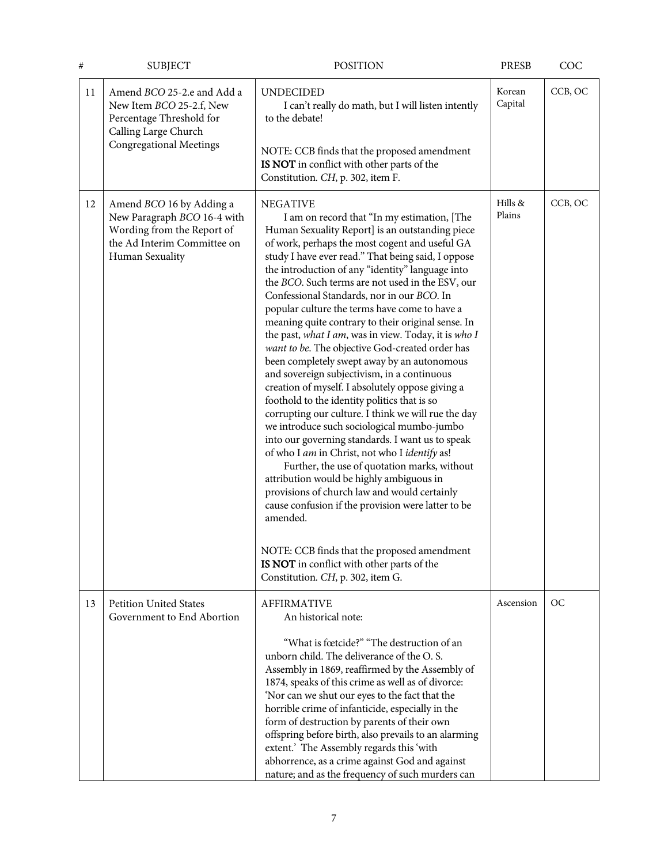| #  | <b>SUBJECT</b>                                                                                                                               | <b>POSITION</b>                                                                                                                                                                                                                                                                                                                                                                                                                                                                                                                                                                                                                                                                                                                                                                                                                                                                                                                                                                                                                                                                                                                                                                                                                                                                                                          | <b>PRESB</b>      | COC       |
|----|----------------------------------------------------------------------------------------------------------------------------------------------|--------------------------------------------------------------------------------------------------------------------------------------------------------------------------------------------------------------------------------------------------------------------------------------------------------------------------------------------------------------------------------------------------------------------------------------------------------------------------------------------------------------------------------------------------------------------------------------------------------------------------------------------------------------------------------------------------------------------------------------------------------------------------------------------------------------------------------------------------------------------------------------------------------------------------------------------------------------------------------------------------------------------------------------------------------------------------------------------------------------------------------------------------------------------------------------------------------------------------------------------------------------------------------------------------------------------------|-------------------|-----------|
| 11 | Amend BCO 25-2.e and Add a<br>New Item BCO 25-2.f, New<br>Percentage Threshold for<br>Calling Large Church<br><b>Congregational Meetings</b> | <b>UNDECIDED</b><br>I can't really do math, but I will listen intently<br>to the debate!<br>NOTE: CCB finds that the proposed amendment<br>IS NOT in conflict with other parts of the<br>Constitution. CH, p. 302, item F.                                                                                                                                                                                                                                                                                                                                                                                                                                                                                                                                                                                                                                                                                                                                                                                                                                                                                                                                                                                                                                                                                               | Korean<br>Capital | CCB, OC   |
| 12 | Amend BCO 16 by Adding a<br>New Paragraph BCO 16-4 with<br>Wording from the Report of<br>the Ad Interim Committee on<br>Human Sexuality      | <b>NEGATIVE</b><br>I am on record that "In my estimation, [The<br>Human Sexuality Report] is an outstanding piece<br>of work, perhaps the most cogent and useful GA<br>study I have ever read." That being said, I oppose<br>the introduction of any "identity" language into<br>the BCO. Such terms are not used in the ESV, our<br>Confessional Standards, nor in our BCO. In<br>popular culture the terms have come to have a<br>meaning quite contrary to their original sense. In<br>the past, what I am, was in view. Today, it is who I<br>want to be. The objective God-created order has<br>been completely swept away by an autonomous<br>and sovereign subjectivism, in a continuous<br>creation of myself. I absolutely oppose giving a<br>foothold to the identity politics that is so<br>corrupting our culture. I think we will rue the day<br>we introduce such sociological mumbo-jumbo<br>into our governing standards. I want us to speak<br>of who I am in Christ, not who I identify as!<br>Further, the use of quotation marks, without<br>attribution would be highly ambiguous in<br>provisions of church law and would certainly<br>cause confusion if the provision were latter to be<br>amended.<br>NOTE: CCB finds that the proposed amendment<br>IS NOT in conflict with other parts of the | Hills &<br>Plains | CCB, OC   |
| 13 | <b>Petition United States</b><br>Government to End Abortion                                                                                  | Constitution. CH, p. 302, item G.<br><b>AFFIRMATIVE</b><br>An historical note:                                                                                                                                                                                                                                                                                                                                                                                                                                                                                                                                                                                                                                                                                                                                                                                                                                                                                                                                                                                                                                                                                                                                                                                                                                           | Ascension         | <b>OC</b> |
|    |                                                                                                                                              | "What is fœtcide?" "The destruction of an<br>unborn child. The deliverance of the O.S.<br>Assembly in 1869, reaffirmed by the Assembly of<br>1874, speaks of this crime as well as of divorce:<br>'Nor can we shut our eyes to the fact that the<br>horrible crime of infanticide, especially in the<br>form of destruction by parents of their own<br>offspring before birth, also prevails to an alarming<br>extent.' The Assembly regards this 'with<br>abhorrence, as a crime against God and against<br>nature; and as the frequency of such murders can                                                                                                                                                                                                                                                                                                                                                                                                                                                                                                                                                                                                                                                                                                                                                            |                   |           |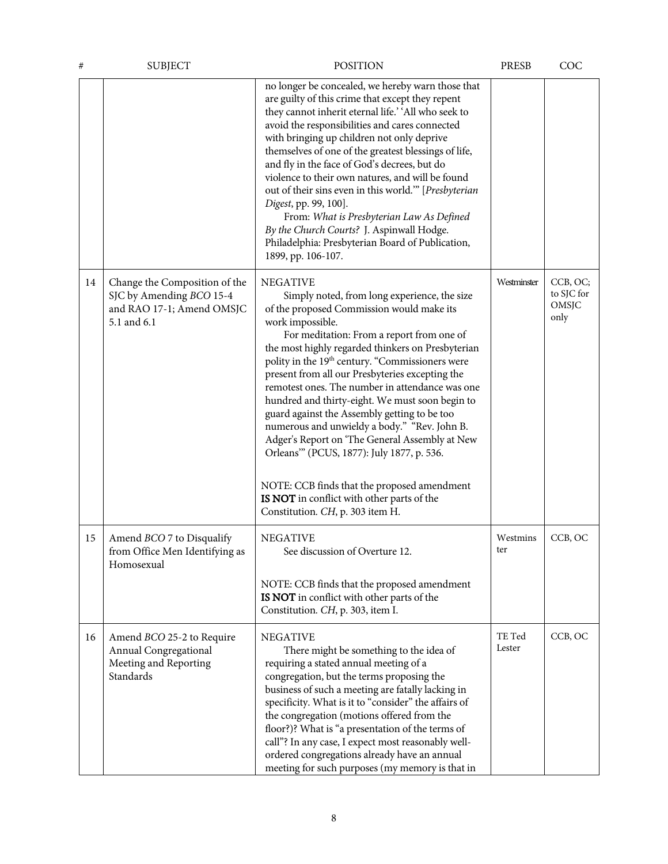| #  | <b>SUBJECT</b>                                                                                        | <b>POSITION</b>                                                                                                                                                                                                                                                                                                                                                                                                                                                                                                                                                                                                                                                                                                                                                                            | PRESB            | COC                                     |
|----|-------------------------------------------------------------------------------------------------------|--------------------------------------------------------------------------------------------------------------------------------------------------------------------------------------------------------------------------------------------------------------------------------------------------------------------------------------------------------------------------------------------------------------------------------------------------------------------------------------------------------------------------------------------------------------------------------------------------------------------------------------------------------------------------------------------------------------------------------------------------------------------------------------------|------------------|-----------------------------------------|
|    |                                                                                                       | no longer be concealed, we hereby warn those that<br>are guilty of this crime that except they repent<br>they cannot inherit eternal life.' 'All who seek to<br>avoid the responsibilities and cares connected<br>with bringing up children not only deprive<br>themselves of one of the greatest blessings of life,<br>and fly in the face of God's decrees, but do<br>violence to their own natures, and will be found<br>out of their sins even in this world." [Presbyterian<br>Digest, pp. 99, 100].<br>From: What is Presbyterian Law As Defined<br>By the Church Courts? J. Aspinwall Hodge.<br>Philadelphia: Presbyterian Board of Publication,<br>1899, pp. 106-107.                                                                                                              |                  |                                         |
| 14 | Change the Composition of the<br>SJC by Amending BCO 15-4<br>and RAO 17-1; Amend OMSJC<br>5.1 and 6.1 | <b>NEGATIVE</b><br>Simply noted, from long experience, the size<br>of the proposed Commission would make its<br>work impossible.<br>For meditation: From a report from one of<br>the most highly regarded thinkers on Presbyterian<br>polity in the 19 <sup>th</sup> century. "Commissioners were<br>present from all our Presbyteries excepting the<br>remotest ones. The number in attendance was one<br>hundred and thirty-eight. We must soon begin to<br>guard against the Assembly getting to be too<br>numerous and unwieldy a body." "Rev. John B.<br>Adger's Report on 'The General Assembly at New<br>Orleans" (PCUS, 1877): July 1877, p. 536.<br>NOTE: CCB finds that the proposed amendment<br>IS NOT in conflict with other parts of the<br>Constitution. CH, p. 303 item H. | Westminster      | CCB, OC;<br>to SJC for<br>OMSJC<br>only |
| 15 | Amend BCO 7 to Disqualify<br>from Office Men Identifying as<br>Homosexual                             | <b>NEGATIVE</b><br>See discussion of Overture 12.<br>NOTE: CCB finds that the proposed amendment<br>IS NOT in conflict with other parts of the<br>Constitution. CH, p. 303, item I.                                                                                                                                                                                                                                                                                                                                                                                                                                                                                                                                                                                                        | Westmins<br>ter  | CCB, OC                                 |
| 16 | Amend BCO 25-2 to Require<br>Annual Congregational<br>Meeting and Reporting<br>Standards              | <b>NEGATIVE</b><br>There might be something to the idea of<br>requiring a stated annual meeting of a<br>congregation, but the terms proposing the<br>business of such a meeting are fatally lacking in<br>specificity. What is it to "consider" the affairs of<br>the congregation (motions offered from the<br>floor?)? What is "a presentation of the terms of<br>call"? In any case, I expect most reasonably well-<br>ordered congregations already have an annual<br>meeting for such purposes (my memory is that in                                                                                                                                                                                                                                                                  | TE Ted<br>Lester | CCB, OC                                 |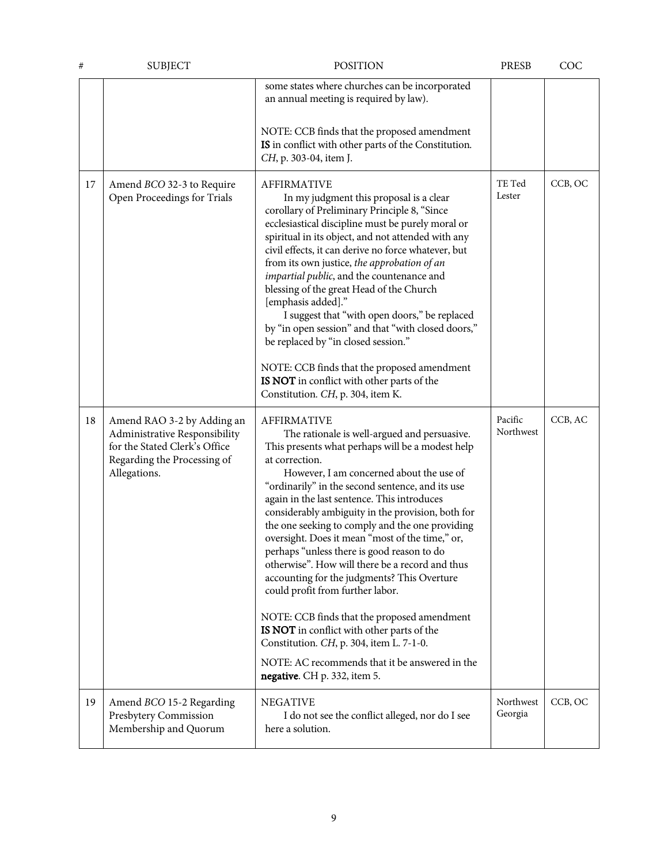| #  | <b>SUBJECT</b>                                                                                                                              | <b>POSITION</b>                                                                                                                                                                                                                                                                                                                                                                                                                                                                                                                                                                                                                                                                                                                                                                                                                                                   | <b>PRESB</b>         | COC     |
|----|---------------------------------------------------------------------------------------------------------------------------------------------|-------------------------------------------------------------------------------------------------------------------------------------------------------------------------------------------------------------------------------------------------------------------------------------------------------------------------------------------------------------------------------------------------------------------------------------------------------------------------------------------------------------------------------------------------------------------------------------------------------------------------------------------------------------------------------------------------------------------------------------------------------------------------------------------------------------------------------------------------------------------|----------------------|---------|
|    |                                                                                                                                             | some states where churches can be incorporated<br>an annual meeting is required by law).<br>NOTE: CCB finds that the proposed amendment<br>IS in conflict with other parts of the Constitution.<br>CH, p. 303-04, item J.                                                                                                                                                                                                                                                                                                                                                                                                                                                                                                                                                                                                                                         |                      |         |
| 17 | Amend BCO 32-3 to Require<br>Open Proceedings for Trials                                                                                    | <b>AFFIRMATIVE</b><br>In my judgment this proposal is a clear<br>corollary of Preliminary Principle 8, "Since<br>ecclesiastical discipline must be purely moral or<br>spiritual in its object, and not attended with any<br>civil effects, it can derive no force whatever, but<br>from its own justice, the approbation of an<br>impartial public, and the countenance and<br>blessing of the great Head of the Church<br>[emphasis added]."<br>I suggest that "with open doors," be replaced<br>by "in open session" and that "with closed doors,"<br>be replaced by "in closed session."<br>NOTE: CCB finds that the proposed amendment<br>IS NOT in conflict with other parts of the<br>Constitution. CH, p. 304, item K.                                                                                                                                     | TE Ted<br>Lester     | CCB, OC |
| 18 | Amend RAO 3-2 by Adding an<br>Administrative Responsibility<br>for the Stated Clerk's Office<br>Regarding the Processing of<br>Allegations. | <b>AFFIRMATIVE</b><br>The rationale is well-argued and persuasive.<br>This presents what perhaps will be a modest help<br>at correction.<br>However, I am concerned about the use of<br>"ordinarily" in the second sentence, and its use<br>again in the last sentence. This introduces<br>considerably ambiguity in the provision, both for<br>the one seeking to comply and the one providing<br>oversight. Does it mean "most of the time," or,<br>perhaps "unless there is good reason to do<br>otherwise". How will there be a record and thus<br>accounting for the judgments? This Overture<br>could profit from further labor.<br>NOTE: CCB finds that the proposed amendment<br>IS NOT in conflict with other parts of the<br>Constitution. CH, p. 304, item L. 7-1-0.<br>NOTE: AC recommends that it be answered in the<br>negative. CH p. 332, item 5. | Pacific<br>Northwest | CCB, AC |
| 19 | Amend BCO 15-2 Regarding<br>Presbytery Commission<br>Membership and Quorum                                                                  | <b>NEGATIVE</b><br>I do not see the conflict alleged, nor do I see<br>here a solution.                                                                                                                                                                                                                                                                                                                                                                                                                                                                                                                                                                                                                                                                                                                                                                            | Northwest<br>Georgia | CCB, OC |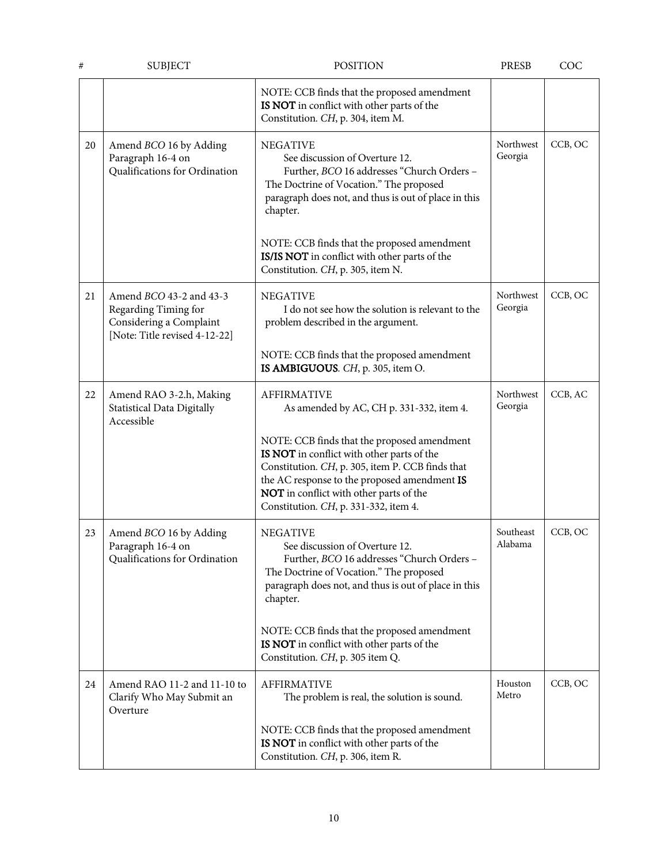| #  | <b>SUBJECT</b>                                                                                                     | <b>POSITION</b>                                                                                                                                                                                                                                                                   | <b>PRESB</b>         | COC     |
|----|--------------------------------------------------------------------------------------------------------------------|-----------------------------------------------------------------------------------------------------------------------------------------------------------------------------------------------------------------------------------------------------------------------------------|----------------------|---------|
|    |                                                                                                                    | NOTE: CCB finds that the proposed amendment<br>IS NOT in conflict with other parts of the<br>Constitution. CH, p. 304, item M.                                                                                                                                                    |                      |         |
| 20 | Amend BCO 16 by Adding<br>Paragraph 16-4 on<br>Qualifications for Ordination                                       | <b>NEGATIVE</b><br>See discussion of Overture 12.<br>Further, BCO 16 addresses "Church Orders -<br>The Doctrine of Vocation." The proposed<br>paragraph does not, and thus is out of place in this<br>chapter.<br>NOTE: CCB finds that the proposed amendment                     | Northwest<br>Georgia | CCB, OC |
|    |                                                                                                                    | IS/IS NOT in conflict with other parts of the<br>Constitution. CH, p. 305, item N.                                                                                                                                                                                                |                      |         |
| 21 | Amend <i>BCO</i> 43-2 and 43-3<br>Regarding Timing for<br>Considering a Complaint<br>[Note: Title revised 4-12-22] | <b>NEGATIVE</b><br>I do not see how the solution is relevant to the<br>problem described in the argument.                                                                                                                                                                         | Northwest<br>Georgia | CCB, OC |
|    |                                                                                                                    | NOTE: CCB finds that the proposed amendment<br>IS AMBIGUOUS. CH, p. 305, item O.                                                                                                                                                                                                  |                      |         |
| 22 | Amend RAO 3-2.h, Making<br>Statistical Data Digitally<br>Accessible                                                | <b>AFFIRMATIVE</b><br>As amended by AC, CH p. 331-332, item 4.                                                                                                                                                                                                                    | Northwest<br>Georgia | CCB, AC |
|    |                                                                                                                    | NOTE: CCB finds that the proposed amendment<br>IS NOT in conflict with other parts of the<br>Constitution. CH, p. 305, item P. CCB finds that<br>the AC response to the proposed amendment IS<br>NOT in conflict with other parts of the<br>Constitution. CH, p. 331-332, item 4. |                      |         |
| 23 | Amend BCO 16 by Adding<br>Paragraph 16-4 on<br>Qualifications for Ordination                                       | <b>NEGATIVE</b><br>See discussion of Overture 12.<br>Further, BCO 16 addresses "Church Orders -<br>The Doctrine of Vocation." The proposed<br>paragraph does not, and thus is out of place in this<br>chapter.                                                                    | Southeast<br>Alabama | CCB, OC |
|    |                                                                                                                    | NOTE: CCB finds that the proposed amendment<br>IS NOT in conflict with other parts of the<br>Constitution. CH, p. 305 item Q.                                                                                                                                                     |                      |         |
| 24 | Amend RAO 11-2 and 11-10 to<br>Clarify Who May Submit an<br>Overture                                               | <b>AFFIRMATIVE</b><br>The problem is real, the solution is sound.                                                                                                                                                                                                                 | Houston<br>Metro     | CCB, OC |
|    |                                                                                                                    | NOTE: CCB finds that the proposed amendment<br>IS NOT in conflict with other parts of the<br>Constitution. CH, p. 306, item R.                                                                                                                                                    |                      |         |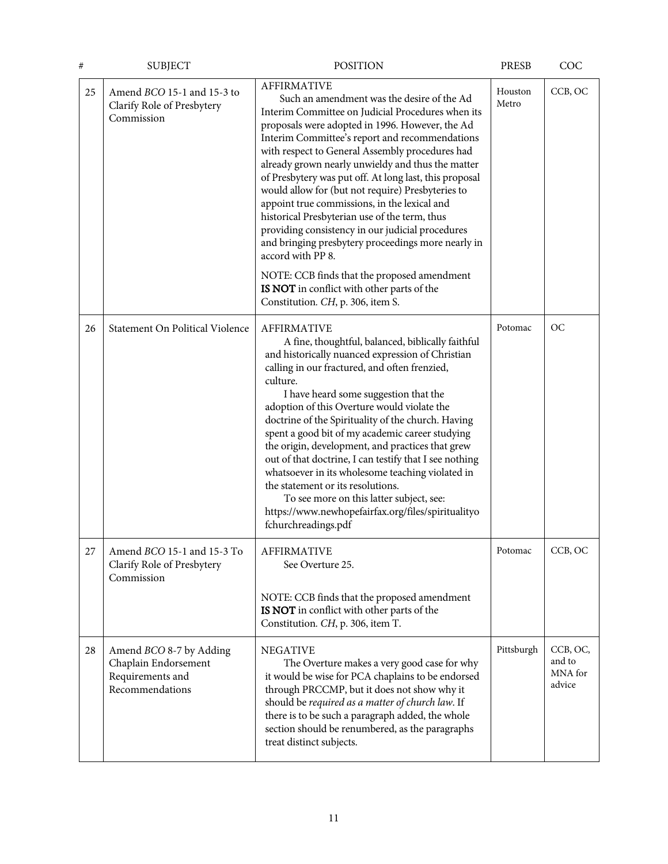| #  | <b>SUBJECT</b>                                                                         | <b>POSITION</b>                                                                                                                                                                                                                                                                                                                                                                                                                                                                                                                                                                                                                                                                                                                                                                                                     | PRESB            | COC                                     |
|----|----------------------------------------------------------------------------------------|---------------------------------------------------------------------------------------------------------------------------------------------------------------------------------------------------------------------------------------------------------------------------------------------------------------------------------------------------------------------------------------------------------------------------------------------------------------------------------------------------------------------------------------------------------------------------------------------------------------------------------------------------------------------------------------------------------------------------------------------------------------------------------------------------------------------|------------------|-----------------------------------------|
| 25 | Amend BCO 15-1 and 15-3 to<br>Clarify Role of Presbytery<br>Commission                 | <b>AFFIRMATIVE</b><br>Such an amendment was the desire of the Ad<br>Interim Committee on Judicial Procedures when its<br>proposals were adopted in 1996. However, the Ad<br>Interim Committee's report and recommendations<br>with respect to General Assembly procedures had<br>already grown nearly unwieldy and thus the matter<br>of Presbytery was put off. At long last, this proposal<br>would allow for (but not require) Presbyteries to<br>appoint true commissions, in the lexical and<br>historical Presbyterian use of the term, thus<br>providing consistency in our judicial procedures<br>and bringing presbytery proceedings more nearly in<br>accord with PP 8.<br>NOTE: CCB finds that the proposed amendment<br>IS NOT in conflict with other parts of the<br>Constitution. CH, p. 306, item S. | Houston<br>Metro | CCB, OC                                 |
| 26 | Statement On Political Violence                                                        | <b>AFFIRMATIVE</b><br>A fine, thoughtful, balanced, biblically faithful<br>and historically nuanced expression of Christian<br>calling in our fractured, and often frenzied,<br>culture.<br>I have heard some suggestion that the<br>adoption of this Overture would violate the<br>doctrine of the Spirituality of the church. Having<br>spent a good bit of my academic career studying<br>the origin, development, and practices that grew<br>out of that doctrine, I can testify that I see nothing<br>whatsoever in its wholesome teaching violated in<br>the statement or its resolutions.<br>To see more on this latter subject, see:<br>https://www.newhopefairfax.org/files/spiritualityo<br>fchurchreadings.pdf                                                                                           | Potomac          | OC                                      |
| 27 | Amend BCO 15-1 and 15-3 To<br>Clarify Role of Presbytery<br>Commission                 | <b>AFFIRMATIVE</b><br>See Overture 25.<br>NOTE: CCB finds that the proposed amendment<br>IS NOT in conflict with other parts of the<br>Constitution. CH, p. 306, item T.                                                                                                                                                                                                                                                                                                                                                                                                                                                                                                                                                                                                                                            | Potomac          | CCB, OC                                 |
| 28 | Amend BCO 8-7 by Adding<br>Chaplain Endorsement<br>Requirements and<br>Recommendations | <b>NEGATIVE</b><br>The Overture makes a very good case for why<br>it would be wise for PCA chaplains to be endorsed<br>through PRCCMP, but it does not show why it<br>should be required as a matter of church law. If<br>there is to be such a paragraph added, the whole<br>section should be renumbered, as the paragraphs<br>treat distinct subjects.                                                                                                                                                                                                                                                                                                                                                                                                                                                           | Pittsburgh       | CCB, OC,<br>and to<br>MNA for<br>advice |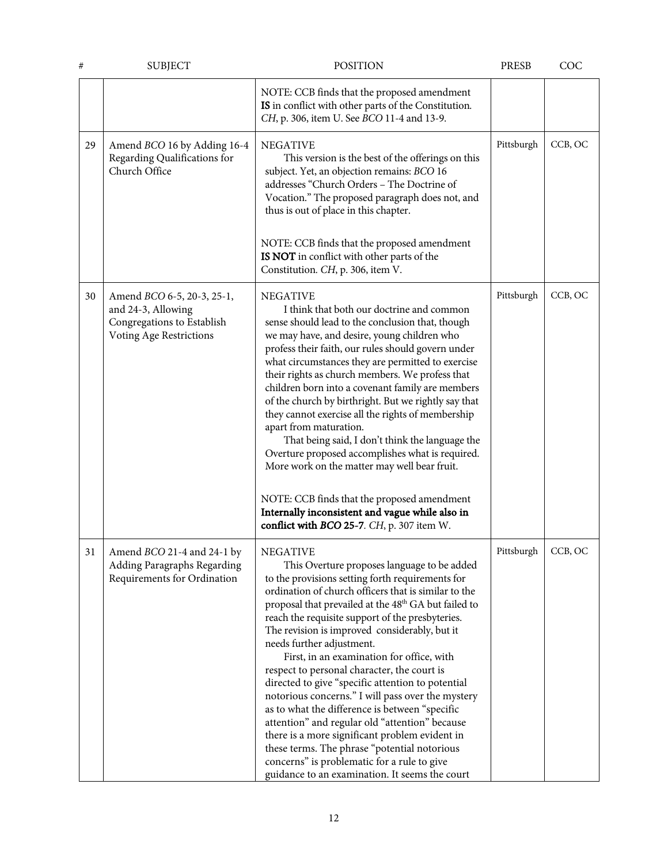| #  | <b>SUBJECT</b>                                                                                            | <b>POSITION</b>                                                                                                                                                                                                                                                                                                                                                                                                                                                                                                                                                                                                                                                                                                                                                                                                                                                                               | <b>PRESB</b> | COC     |
|----|-----------------------------------------------------------------------------------------------------------|-----------------------------------------------------------------------------------------------------------------------------------------------------------------------------------------------------------------------------------------------------------------------------------------------------------------------------------------------------------------------------------------------------------------------------------------------------------------------------------------------------------------------------------------------------------------------------------------------------------------------------------------------------------------------------------------------------------------------------------------------------------------------------------------------------------------------------------------------------------------------------------------------|--------------|---------|
|    |                                                                                                           | NOTE: CCB finds that the proposed amendment<br>IS in conflict with other parts of the Constitution.<br>CH, p. 306, item U. See BCO 11-4 and 13-9.                                                                                                                                                                                                                                                                                                                                                                                                                                                                                                                                                                                                                                                                                                                                             |              |         |
| 29 | Amend BCO 16 by Adding 16-4<br>Regarding Qualifications for<br>Church Office                              | <b>NEGATIVE</b><br>This version is the best of the offerings on this<br>subject. Yet, an objection remains: BCO 16<br>addresses "Church Orders - The Doctrine of<br>Vocation." The proposed paragraph does not, and<br>thus is out of place in this chapter.<br>NOTE: CCB finds that the proposed amendment<br>IS NOT in conflict with other parts of the<br>Constitution. CH, p. 306, item V.                                                                                                                                                                                                                                                                                                                                                                                                                                                                                                | Pittsburgh   | CCB, OC |
| 30 | Amend BCO 6-5, 20-3, 25-1,<br>and 24-3, Allowing<br>Congregations to Establish<br>Voting Age Restrictions | <b>NEGATIVE</b><br>I think that both our doctrine and common<br>sense should lead to the conclusion that, though<br>we may have, and desire, young children who<br>profess their faith, our rules should govern under<br>what circumstances they are permitted to exercise<br>their rights as church members. We profess that<br>children born into a covenant family are members<br>of the church by birthright. But we rightly say that<br>they cannot exercise all the rights of membership<br>apart from maturation.<br>That being said, I don't think the language the<br>Overture proposed accomplishes what is required.<br>More work on the matter may well bear fruit.<br>NOTE: CCB finds that the proposed amendment<br>Internally inconsistent and vague while also in<br>conflict with BCO 25-7. CH, p. 307 item W.                                                               | Pittsburgh   | CCB, OC |
| 31 | Amend BCO 21-4 and 24-1 by<br>Adding Paragraphs Regarding<br>Requirements for Ordination                  | <b>NEGATIVE</b><br>This Overture proposes language to be added<br>to the provisions setting forth requirements for<br>ordination of church officers that is similar to the<br>proposal that prevailed at the 48 <sup>th</sup> GA but failed to<br>reach the requisite support of the presbyteries.<br>The revision is improved considerably, but it<br>needs further adjustment.<br>First, in an examination for office, with<br>respect to personal character, the court is<br>directed to give "specific attention to potential<br>notorious concerns." I will pass over the mystery<br>as to what the difference is between "specific<br>attention" and regular old "attention" because<br>there is a more significant problem evident in<br>these terms. The phrase "potential notorious<br>concerns" is problematic for a rule to give<br>guidance to an examination. It seems the court | Pittsburgh   | CCB, OC |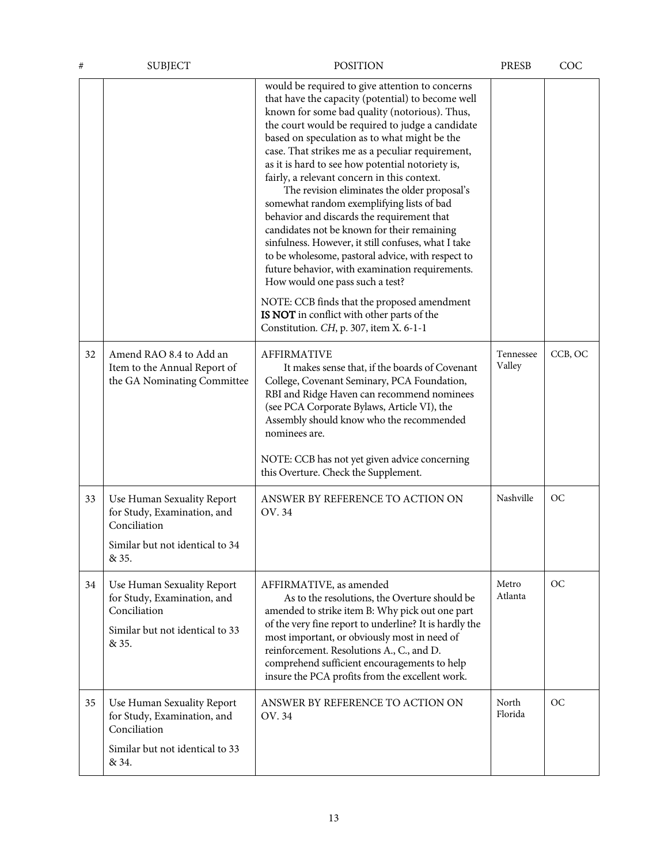| #  | <b>SUBJECT</b>                                                                                                        | <b>POSITION</b>                                                                                                                                                                                                                                                                                                                                                                                                                                                                                                                                                                                                                                                                                                                                                                                                                                                                                                                                      | <b>PRESB</b>        | COC       |
|----|-----------------------------------------------------------------------------------------------------------------------|------------------------------------------------------------------------------------------------------------------------------------------------------------------------------------------------------------------------------------------------------------------------------------------------------------------------------------------------------------------------------------------------------------------------------------------------------------------------------------------------------------------------------------------------------------------------------------------------------------------------------------------------------------------------------------------------------------------------------------------------------------------------------------------------------------------------------------------------------------------------------------------------------------------------------------------------------|---------------------|-----------|
|    |                                                                                                                       | would be required to give attention to concerns<br>that have the capacity (potential) to become well<br>known for some bad quality (notorious). Thus,<br>the court would be required to judge a candidate<br>based on speculation as to what might be the<br>case. That strikes me as a peculiar requirement,<br>as it is hard to see how potential notoriety is,<br>fairly, a relevant concern in this context.<br>The revision eliminates the older proposal's<br>somewhat random exemplifying lists of bad<br>behavior and discards the requirement that<br>candidates not be known for their remaining<br>sinfulness. However, it still confuses, what I take<br>to be wholesome, pastoral advice, with respect to<br>future behavior, with examination requirements.<br>How would one pass such a test?<br>NOTE: CCB finds that the proposed amendment<br>IS NOT in conflict with other parts of the<br>Constitution. CH, p. 307, item X. 6-1-1 |                     |           |
| 32 | Amend RAO 8.4 to Add an<br>Item to the Annual Report of<br>the GA Nominating Committee                                | <b>AFFIRMATIVE</b><br>It makes sense that, if the boards of Covenant<br>College, Covenant Seminary, PCA Foundation,<br>RBI and Ridge Haven can recommend nominees<br>(see PCA Corporate Bylaws, Article VI), the<br>Assembly should know who the recommended<br>nominees are.<br>NOTE: CCB has not yet given advice concerning<br>this Overture. Check the Supplement.                                                                                                                                                                                                                                                                                                                                                                                                                                                                                                                                                                               | Tennessee<br>Valley | CCB, OC   |
| 33 | Use Human Sexuality Report<br>for Study, Examination, and<br>Conciliation<br>Similar but not identical to 34<br>& 35. | ANSWER BY REFERENCE TO ACTION ON<br>OV. 34                                                                                                                                                                                                                                                                                                                                                                                                                                                                                                                                                                                                                                                                                                                                                                                                                                                                                                           | Nashville           | <b>OC</b> |
| 34 | Use Human Sexuality Report<br>for Study, Examination, and<br>Conciliation<br>Similar but not identical to 33<br>& 35. | AFFIRMATIVE, as amended<br>As to the resolutions, the Overture should be<br>amended to strike item B: Why pick out one part<br>of the very fine report to underline? It is hardly the<br>most important, or obviously most in need of<br>reinforcement. Resolutions A., C., and D.<br>comprehend sufficient encouragements to help<br>insure the PCA profits from the excellent work.                                                                                                                                                                                                                                                                                                                                                                                                                                                                                                                                                                | Metro<br>Atlanta    | OC        |
| 35 | Use Human Sexuality Report<br>for Study, Examination, and<br>Conciliation<br>Similar but not identical to 33<br>& 34. | ANSWER BY REFERENCE TO ACTION ON<br>OV. 34                                                                                                                                                                                                                                                                                                                                                                                                                                                                                                                                                                                                                                                                                                                                                                                                                                                                                                           | North<br>Florida    | OC        |